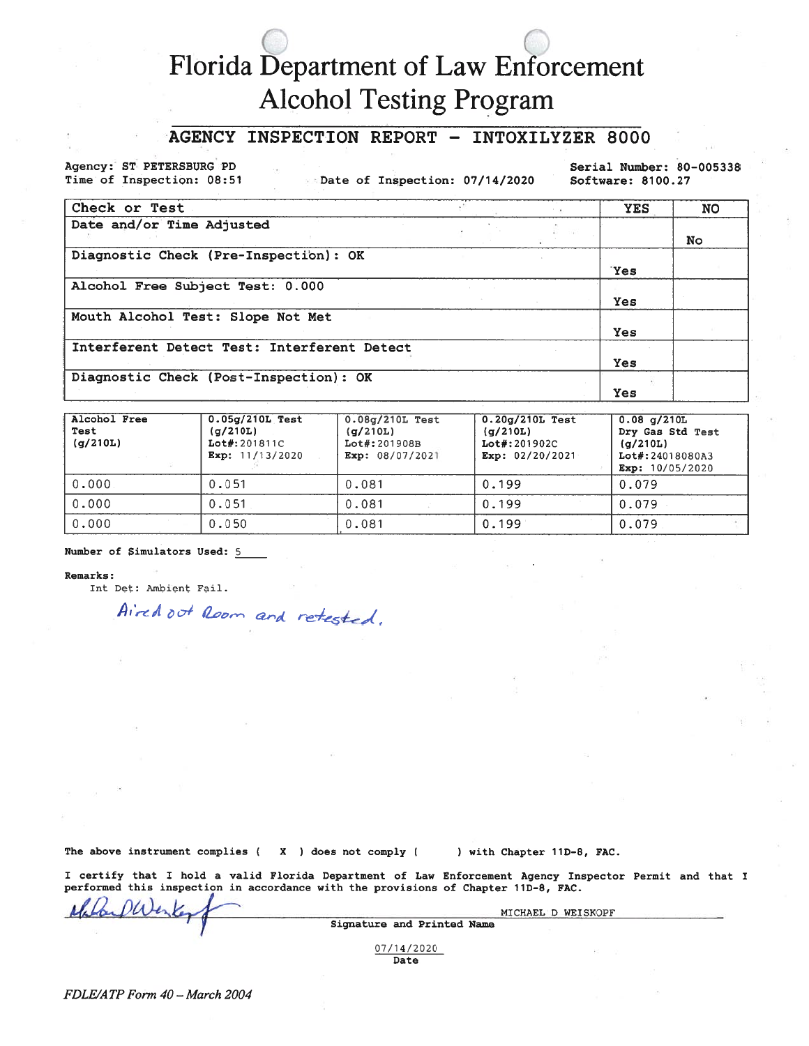## Florida Department of Law Enforcement **Alcohol Testing Program**

## INSPECTION REPORT - INTOXILYZER 8000 **AGENCY**

Agency: ST PETERSBURG PD Time of Inspection: 08:51

Date of Inspection: 07/14/2020

Serial Number: 80-005338 Software: 8100.27

| Check or Test                               |  | <b>YES</b> | <b>NO</b> |
|---------------------------------------------|--|------------|-----------|
| Date and/or Time Adjusted                   |  |            | <b>No</b> |
| Diagnostic Check (Pre-Inspection): OK       |  | <b>Yes</b> |           |
| Alcohol Free Subject Test: 0.000            |  | Yes        |           |
| Mouth Alcohol Test: Slope Not Met           |  | <b>Yes</b> |           |
| Interferent Detect Test: Interferent Detect |  | <b>Yes</b> |           |
| Diagnostic Check (Post-Inspection): OK      |  | Yes        |           |

| Alcohol Free<br>Test<br>(q/210L) | $0.05q/210L$ Test<br>(q/210L)<br>Lot#: 201811C<br>Exp: 11/13/2020 | $0.08q/210L$ Test<br>(q/210L)<br>Lot#: 201908B<br>Exp: 08/07/2021 | $0.20q/210L$ Test<br>(q/210L)<br>Lot#: 201902C<br>Exp: $02/20/2021$ | $0.08$ q/210L<br>Dry Gas Std Test<br>(a/210L)<br>Lot#: 24018080A3<br>Exp: 10/05/2020 |
|----------------------------------|-------------------------------------------------------------------|-------------------------------------------------------------------|---------------------------------------------------------------------|--------------------------------------------------------------------------------------|
| 0.000                            | 0.051                                                             | 0.081                                                             | 0.199                                                               | 0.079                                                                                |
| 0.000                            | 0.051                                                             | 0.081                                                             | 0.199                                                               | 0.079                                                                                |
| 0.000                            | 0.050                                                             | 0.081                                                             | 0.199                                                               | 0.079                                                                                |

Number of Simulators Used: 5

## Remarks:

Int Det: Ambient Fail.

Aired out Room and retested.

The above instrument complies (X ) does not comply (

) with Chapter 11D-8, FAC.

I certify that I hold a valid Florida Department of Law Enforcement Agency Inspector Permit and that I performed this inspection in accordance with the provisions of Chapter 11D-8, FAC.

| $4K_{\odot}$ | MICHAEL D WEISKOPF         |  |
|--------------|----------------------------|--|
|              | Signature and Printed Name |  |
|              | 07/14/2020                 |  |

Date